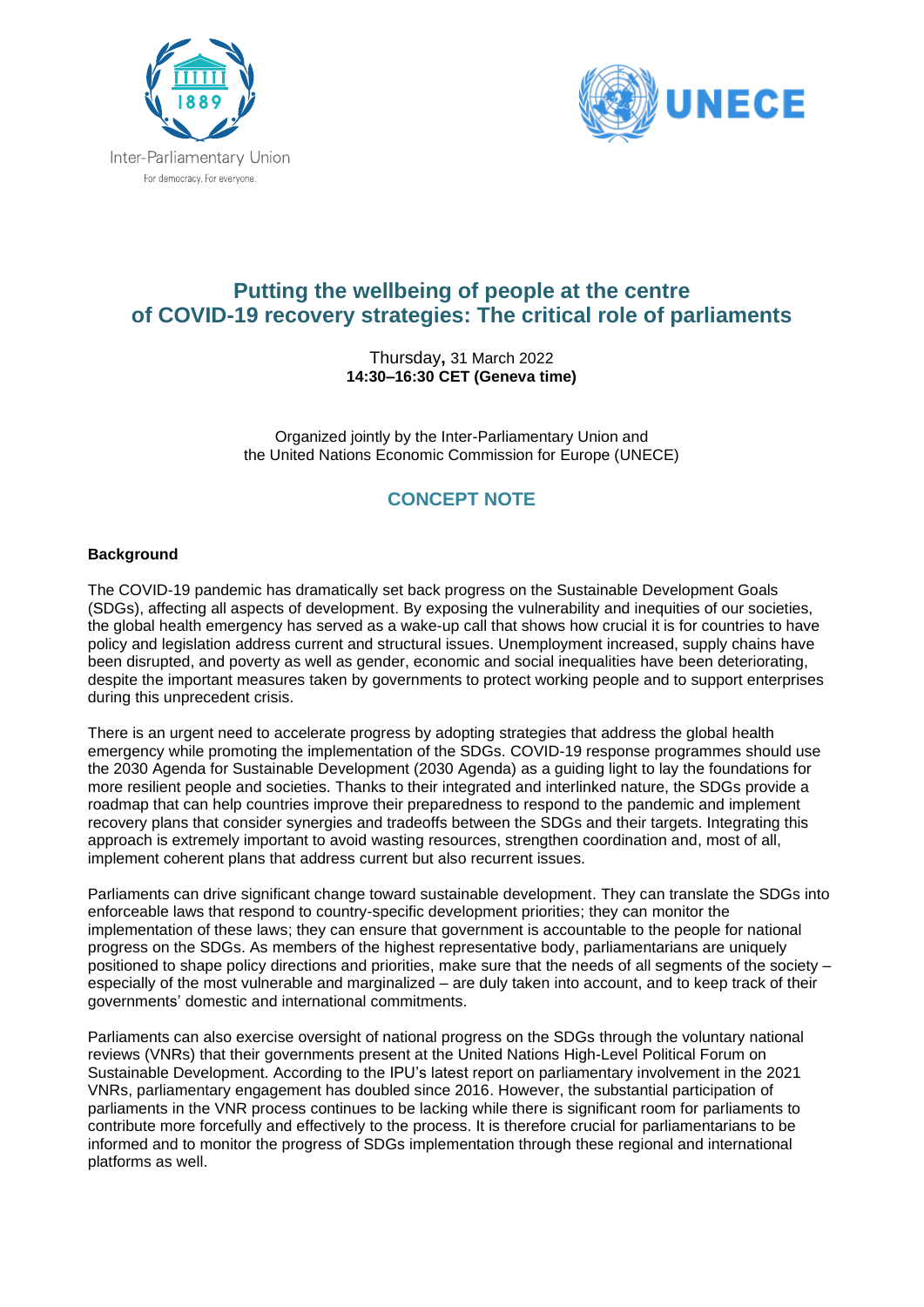



# **Putting the wellbeing of people at the centre of COVID-19 recovery strategies: The critical role of parliaments**

Thursday**,** 31 March 2022 **14:30–16:30 CET (Geneva time)**

Organized jointly by the Inter-Parliamentary Union and the United Nations Economic Commission for Europe (UNECE)

# **CONCEPT NOTE**

## **Background**

The COVID-19 pandemic has dramatically set back progress on the Sustainable Development Goals (SDGs), affecting all aspects of development. By exposing the vulnerability and inequities of our societies, the global health emergency has served as a wake-up call that shows how crucial it is for countries to have policy and legislation address current and structural issues. Unemployment increased, supply chains have been disrupted, and poverty as well as gender, economic and social inequalities have been deteriorating, despite the important measures taken by governments to protect working people and to support enterprises during this unprecedent crisis.

There is an urgent need to accelerate progress by adopting strategies that address the global health emergency while promoting the implementation of the SDGs. COVID-19 response programmes should use the 2030 Agenda for Sustainable Development (2030 Agenda) as a guiding light to lay the foundations for more resilient people and societies. Thanks to their integrated and interlinked nature, the SDGs provide a roadmap that can help countries improve their preparedness to respond to the pandemic and implement recovery plans that consider synergies and tradeoffs between the SDGs and their targets. Integrating this approach is extremely important to avoid wasting resources, strengthen coordination and, most of all, implement coherent plans that address current but also recurrent issues.

Parliaments can drive significant change toward sustainable development. They can translate the SDGs into enforceable laws that respond to country-specific development priorities; they can monitor the implementation of these laws; they can ensure that government is accountable to the people for national progress on the SDGs. As members of the highest representative body, parliamentarians are uniquely positioned to shape policy directions and priorities, make sure that the needs of all segments of the society – especially of the most vulnerable and marginalized – are duly taken into account, and to keep track of their governments' domestic and international commitments.

Parliaments can also exercise oversight of national progress on the SDGs through the voluntary national reviews (VNRs) that their governments present at the United Nations High-Level Political Forum on Sustainable Development. According to the IPU's latest report on parliamentary involvement in the 2021 VNRs, parliamentary engagement has doubled since 2016. However, the substantial participation of parliaments in the VNR process continues to be lacking while there is significant room for parliaments to contribute more forcefully and effectively to the process. It is therefore crucial for parliamentarians to be informed and to monitor the progress of SDGs implementation through these regional and international platforms as well.